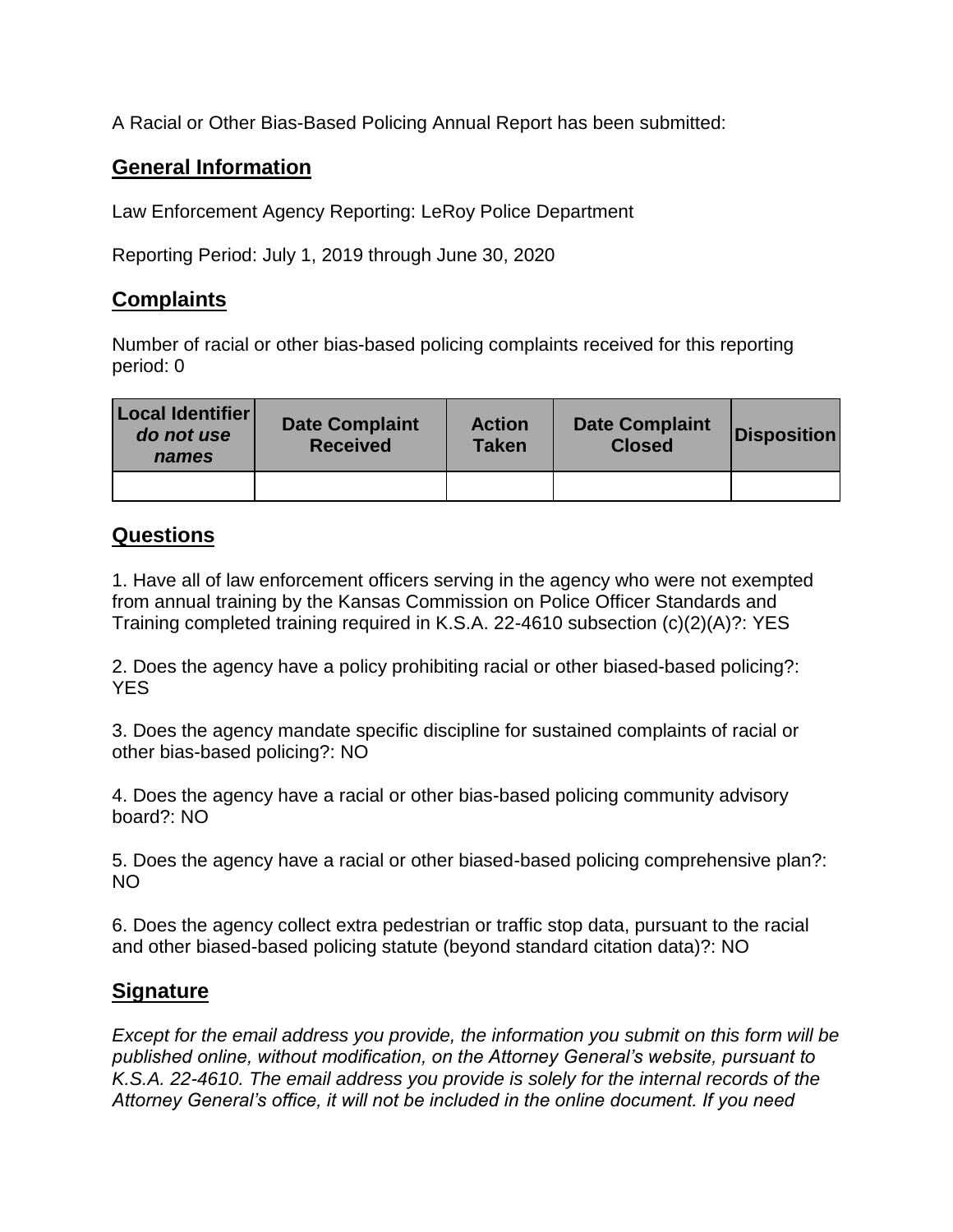A Racial or Other Bias-Based Policing Annual Report has been submitted:

## **General Information**

Law Enforcement Agency Reporting: LeRoy Police Department

Reporting Period: July 1, 2019 through June 30, 2020

## **Complaints**

Number of racial or other bias-based policing complaints received for this reporting period: 0

| Local Identifier<br>do not use<br>names | <b>Date Complaint</b><br><b>Received</b> | <b>Action</b><br><b>Taken</b> | <b>Date Complaint</b><br><b>Closed</b> | <b>Disposition</b> |
|-----------------------------------------|------------------------------------------|-------------------------------|----------------------------------------|--------------------|
|                                         |                                          |                               |                                        |                    |

## **Questions**

1. Have all of law enforcement officers serving in the agency who were not exempted from annual training by the Kansas Commission on Police Officer Standards and Training completed training required in K.S.A. 22-4610 subsection (c)(2)(A)?: YES

2. Does the agency have a policy prohibiting racial or other biased-based policing?: YES

3. Does the agency mandate specific discipline for sustained complaints of racial or other bias-based policing?: NO

4. Does the agency have a racial or other bias-based policing community advisory board?: NO

5. Does the agency have a racial or other biased-based policing comprehensive plan?: NO

6. Does the agency collect extra pedestrian or traffic stop data, pursuant to the racial and other biased-based policing statute (beyond standard citation data)?: NO

## **Signature**

*Except for the email address you provide, the information you submit on this form will be published online, without modification, on the Attorney General's website, pursuant to K.S.A. 22-4610. The email address you provide is solely for the internal records of the Attorney General's office, it will not be included in the online document. If you need*